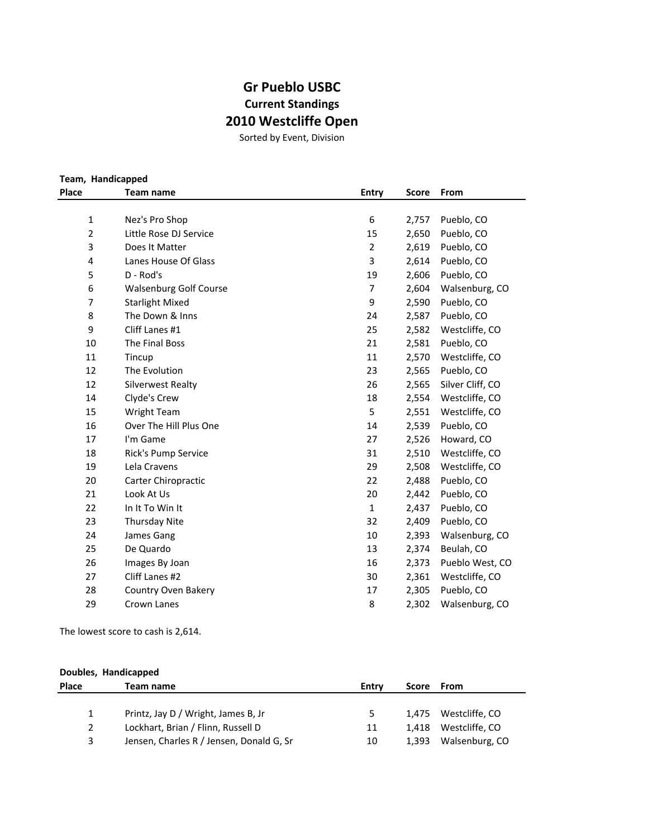## **Gr Pueblo USBC Current Standings 2010 Westcliffe Open**

Sorted by Event, Division

| Team, Handicapped |                               |                |              |                  |
|-------------------|-------------------------------|----------------|--------------|------------------|
| Place             | Team name                     | <b>Entry</b>   | <b>Score</b> | From             |
|                   |                               |                |              |                  |
| 1                 | Nez's Pro Shop                | 6              | 2,757        | Pueblo, CO       |
| $\overline{2}$    | Little Rose DJ Service        | 15             | 2,650        | Pueblo, CO       |
| 3                 | Does It Matter                | $\overline{2}$ | 2,619        | Pueblo, CO       |
| 4                 | Lanes House Of Glass          | 3              | 2,614        | Pueblo, CO       |
| 5                 | D - Rod's                     | 19             | 2,606        | Pueblo, CO       |
| 6                 | <b>Walsenburg Golf Course</b> | $\overline{7}$ | 2,604        | Walsenburg, CO   |
| 7                 | <b>Starlight Mixed</b>        | 9              | 2,590        | Pueblo, CO       |
| 8                 | The Down & Inns               | 24             | 2,587        | Pueblo, CO       |
| 9                 | Cliff Lanes #1                | 25             | 2,582        | Westcliffe, CO   |
| 10                | The Final Boss                | 21             | 2,581        | Pueblo, CO       |
| 11                | Tincup                        | 11             | 2,570        | Westcliffe, CO   |
| 12                | The Evolution                 | 23             | 2,565        | Pueblo, CO       |
| 12                | <b>Silverwest Realty</b>      | 26             | 2,565        | Silver Cliff, CO |
| 14                | Clyde's Crew                  | 18             | 2,554        | Westcliffe, CO   |
| 15                | <b>Wright Team</b>            | 5              | 2,551        | Westcliffe, CO   |
| 16                | Over The Hill Plus One        | 14             | 2,539        | Pueblo, CO       |
| 17                | I'm Game                      | 27             | 2,526        | Howard, CO       |
| 18                | Rick's Pump Service           | 31             | 2,510        | Westcliffe, CO   |
| 19                | Lela Cravens                  | 29             | 2,508        | Westcliffe, CO   |
| 20                | Carter Chiropractic           | 22             | 2,488        | Pueblo, CO       |
| 21                | Look At Us                    | 20             | 2,442        | Pueblo, CO       |
| 22                | In It To Win It               | $\mathbf{1}$   | 2,437        | Pueblo, CO       |
| 23                | Thursday Nite                 | 32             | 2,409        | Pueblo, CO       |
| 24                | James Gang                    | 10             | 2,393        | Walsenburg, CO   |
| 25                | De Quardo                     | 13             | 2,374        | Beulah, CO       |
| 26                | Images By Joan                | 16             | 2,373        | Pueblo West, CO  |
| 27                | Cliff Lanes #2                | 30             | 2,361        | Westcliffe, CO   |
| 28                | Country Oven Bakery           | 17             | 2,305        | Pueblo, CO       |
| 29                | Crown Lanes                   | 8              | 2,302        | Walsenburg, CO   |

The lowest score to cash is 2,614.

| Doubles, Handicapped |                                          |       |       |                      |  |  |
|----------------------|------------------------------------------|-------|-------|----------------------|--|--|
| <b>Place</b>         | Team name                                | Entry | Score | From                 |  |  |
|                      |                                          |       |       |                      |  |  |
|                      | Printz, Jay D / Wright, James B, Jr      | 5.    |       | 1.475 Westcliffe. CO |  |  |
| 2                    | Lockhart, Brian / Flinn, Russell D       | 11    | 1.418 | Westcliffe, CO       |  |  |
| 3                    | Jensen, Charles R / Jensen, Donald G, Sr | 10    | 1.393 | Walsenburg, CO       |  |  |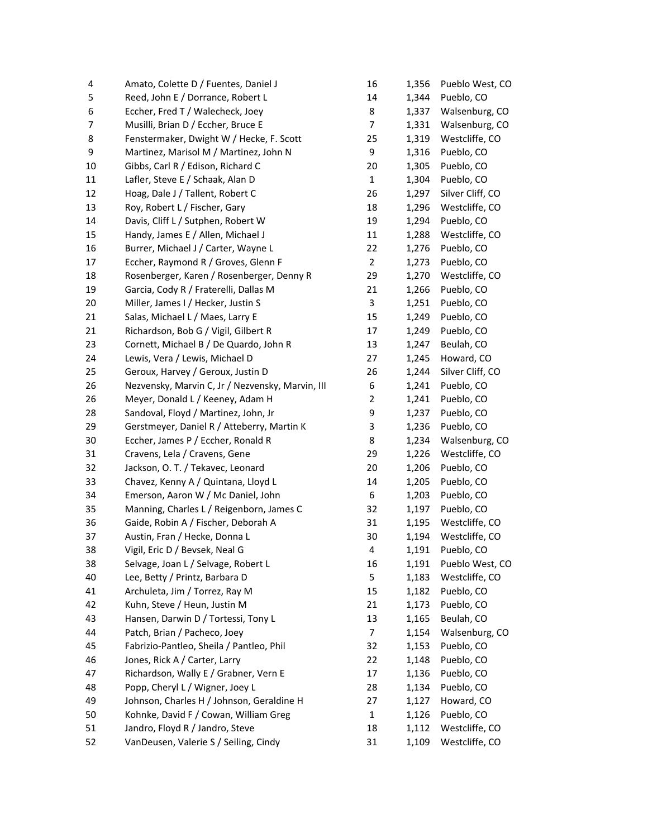| 4  | Amato, Colette D / Fuentes, Daniel J             | 16                      | 1,356 | Pueblo West, CO  |
|----|--------------------------------------------------|-------------------------|-------|------------------|
| 5  | Reed, John E / Dorrance, Robert L                | 14                      | 1,344 | Pueblo, CO       |
| 6  | Eccher, Fred T / Walecheck, Joey                 | 8                       | 1,337 | Walsenburg, CO   |
| 7  | Musilli, Brian D / Eccher, Bruce E               | 7                       | 1,331 | Walsenburg, CO   |
| 8  | Fenstermaker, Dwight W / Hecke, F. Scott         | 25                      | 1,319 | Westcliffe, CO   |
| 9  | Martinez, Marisol M / Martinez, John N           | 9                       | 1,316 | Pueblo, CO       |
| 10 | Gibbs, Carl R / Edison, Richard C                | 20                      | 1,305 | Pueblo, CO       |
| 11 | Lafler, Steve E / Schaak, Alan D                 | $\mathbf 1$             | 1,304 | Pueblo, CO       |
| 12 | Hoag, Dale J / Tallent, Robert C                 | 26                      | 1,297 | Silver Cliff, CO |
| 13 | Roy, Robert L / Fischer, Gary                    | 18                      | 1,296 | Westcliffe, CO   |
| 14 | Davis, Cliff L / Sutphen, Robert W               | 19                      | 1,294 | Pueblo, CO       |
| 15 | Handy, James E / Allen, Michael J                | 11                      | 1,288 | Westcliffe, CO   |
| 16 | Burrer, Michael J / Carter, Wayne L              | 22                      | 1,276 | Pueblo, CO       |
| 17 | Eccher, Raymond R / Groves, Glenn F              | $\overline{2}$          | 1,273 | Pueblo, CO       |
| 18 | Rosenberger, Karen / Rosenberger, Denny R        | 29                      | 1,270 | Westcliffe, CO   |
| 19 | Garcia, Cody R / Fraterelli, Dallas M            | 21                      | 1,266 | Pueblo, CO       |
| 20 | Miller, James I / Hecker, Justin S               | 3                       | 1,251 | Pueblo, CO       |
| 21 | Salas, Michael L / Maes, Larry E                 | 15                      | 1,249 | Pueblo, CO       |
| 21 | Richardson, Bob G / Vigil, Gilbert R             | 17                      | 1,249 | Pueblo, CO       |
| 23 | Cornett, Michael B / De Quardo, John R           | 13                      | 1,247 | Beulah, CO       |
| 24 | Lewis, Vera / Lewis, Michael D                   | 27                      | 1,245 | Howard, CO       |
| 25 | Geroux, Harvey / Geroux, Justin D                | 26                      | 1,244 | Silver Cliff, CO |
| 26 | Nezvensky, Marvin C, Jr / Nezvensky, Marvin, III | 6                       | 1,241 | Pueblo, CO       |
| 26 | Meyer, Donald L / Keeney, Adam H                 | $\overline{\mathbf{c}}$ | 1,241 | Pueblo, CO       |
| 28 | Sandoval, Floyd / Martinez, John, Jr             | 9                       | 1,237 | Pueblo, CO       |
| 29 | Gerstmeyer, Daniel R / Atteberry, Martin K       | 3                       | 1,236 | Pueblo, CO       |
| 30 | Eccher, James P / Eccher, Ronald R               | 8                       | 1,234 | Walsenburg, CO   |
| 31 | Cravens, Lela / Cravens, Gene                    | 29                      | 1,226 | Westcliffe, CO   |
| 32 | Jackson, O. T. / Tekavec, Leonard                | 20                      | 1,206 | Pueblo, CO       |
| 33 | Chavez, Kenny A / Quintana, Lloyd L              | 14                      | 1,205 | Pueblo, CO       |
| 34 | Emerson, Aaron W / Mc Daniel, John               | 6                       | 1,203 | Pueblo, CO       |
| 35 | Manning, Charles L / Reigenborn, James C         | 32                      | 1,197 | Pueblo, CO       |
| 36 | Gaide, Robin A / Fischer, Deborah A              | 31                      | 1,195 | Westcliffe, CO   |
| 37 | Austin, Fran / Hecke, Donna L                    | 30                      | 1,194 | Westcliffe, CO   |
| 38 | Vigil, Eric D / Bevsek, Neal G                   | 4                       | 1,191 | Pueblo, CO       |
| 38 | Selvage, Joan L / Selvage, Robert L              | 16                      | 1,191 | Pueblo West, CO  |
| 40 | Lee, Betty / Printz, Barbara D                   | 5                       | 1,183 | Westcliffe, CO   |
| 41 | Archuleta, Jim / Torrez, Ray M                   | 15                      | 1,182 | Pueblo, CO       |
| 42 | Kuhn, Steve / Heun, Justin M                     | 21                      | 1,173 | Pueblo, CO       |
| 43 | Hansen, Darwin D / Tortessi, Tony L              | 13                      | 1,165 | Beulah, CO       |
| 44 | Patch, Brian / Pacheco, Joey                     | 7                       | 1,154 | Walsenburg, CO   |
| 45 | Fabrizio-Pantleo, Sheila / Pantleo, Phil         | 32                      | 1,153 | Pueblo, CO       |
| 46 | Jones, Rick A / Carter, Larry                    | 22                      | 1,148 | Pueblo, CO       |
| 47 | Richardson, Wally E / Grabner, Vern E            | 17                      | 1,136 | Pueblo, CO       |
| 48 | Popp, Cheryl L / Wigner, Joey L                  | 28                      | 1,134 | Pueblo, CO       |
| 49 | Johnson, Charles H / Johnson, Geraldine H        | 27                      | 1,127 | Howard, CO       |
| 50 | Kohnke, David F / Cowan, William Greg            | $\mathbf 1$             | 1,126 | Pueblo, CO       |
| 51 | Jandro, Floyd R / Jandro, Steve                  | 18                      | 1,112 | Westcliffe, CO   |
| 52 | VanDeusen, Valerie S / Seiling, Cindy            | 31                      | 1,109 | Westcliffe, CO   |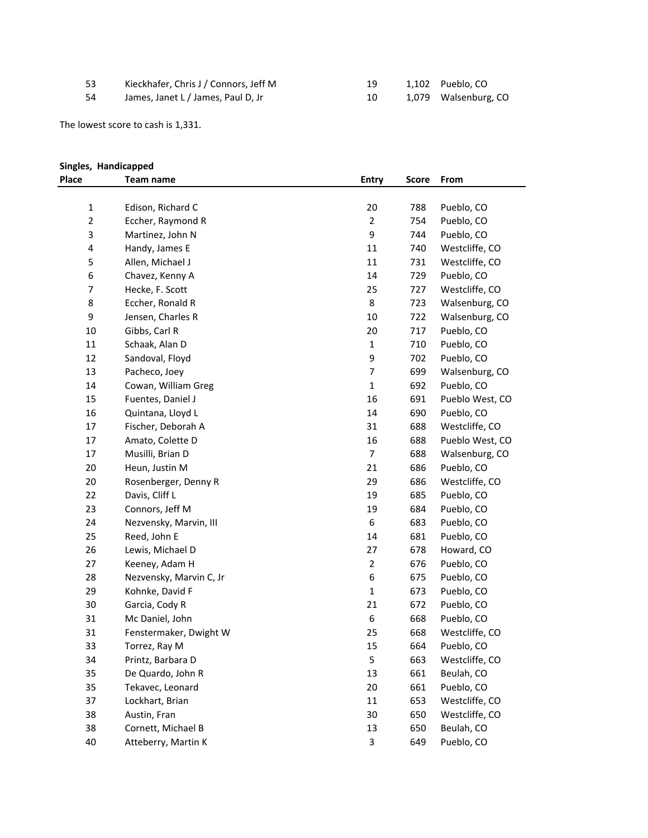| -53 | Kieckhafer, Chris J / Connors, Jeff M |
|-----|---------------------------------------|
|     |                                       |

|     | Kieckhafer, Chris J / Connors, Jeff M |  | 1,102 Pueblo, CO     |
|-----|---------------------------------------|--|----------------------|
| -54 | James, Janet L / James, Paul D, Jr    |  | 1,079 Walsenburg, CO |

The lowest score to cash is 1,331.

## **Singles, Handicapped**

| Place        | Team name               | <b>Entry</b>   | <b>Score</b> | From            |
|--------------|-------------------------|----------------|--------------|-----------------|
|              |                         |                |              |                 |
| $\mathbf{1}$ | Edison, Richard C       | 20             | 788          | Pueblo, CO      |
| $\mathbf 2$  | Eccher, Raymond R       | $\overline{2}$ | 754          | Pueblo, CO      |
| 3            | Martinez, John N        | 9              | 744          | Pueblo, CO      |
| 4            | Handy, James E          | 11             | 740          | Westcliffe, CO  |
| 5            | Allen, Michael J        | 11             | 731          | Westcliffe, CO  |
| 6            | Chavez, Kenny A         | 14             | 729          | Pueblo, CO      |
| 7            | Hecke, F. Scott         | 25             | 727          | Westcliffe, CO  |
| 8            | Eccher, Ronald R        | 8              | 723          | Walsenburg, CO  |
| 9            | Jensen, Charles R       | 10             | 722          | Walsenburg, CO  |
| 10           | Gibbs, Carl R           | 20             | 717          | Pueblo, CO      |
| 11           | Schaak, Alan D          | $\mathbf 1$    | 710          | Pueblo, CO      |
| 12           | Sandoval, Floyd         | 9              | 702          | Pueblo, CO      |
| 13           | Pacheco, Joey           | $\overline{7}$ | 699          | Walsenburg, CO  |
| 14           | Cowan, William Greg     | $\mathbf 1$    | 692          | Pueblo, CO      |
| 15           | Fuentes, Daniel J       | 16             | 691          | Pueblo West, CO |
| 16           | Quintana, Lloyd L       | 14             | 690          | Pueblo, CO      |
| 17           | Fischer, Deborah A      | 31             | 688          | Westcliffe, CO  |
| 17           | Amato, Colette D        | 16             | 688          | Pueblo West, CO |
| 17           | Musilli, Brian D        | $\overline{7}$ | 688          | Walsenburg, CO  |
| 20           | Heun, Justin M          | 21             | 686          | Pueblo, CO      |
| 20           | Rosenberger, Denny R    | 29             | 686          | Westcliffe, CO  |
| 22           | Davis, Cliff L          | 19             | 685          | Pueblo, CO      |
| 23           | Connors, Jeff M         | 19             | 684          | Pueblo, CO      |
| 24           | Nezvensky, Marvin, III  | 6              | 683          | Pueblo, CO      |
| 25           | Reed, John E            | 14             | 681          | Pueblo, CO      |
| 26           | Lewis, Michael D        | 27             | 678          | Howard, CO      |
| 27           | Keeney, Adam H          | $\overline{2}$ | 676          | Pueblo, CO      |
| 28           | Nezvensky, Marvin C, Jr | 6              | 675          | Pueblo, CO      |
| 29           | Kohnke, David F         | $\mathbf 1$    | 673          | Pueblo, CO      |
| 30           | Garcia, Cody R          | 21             | 672          | Pueblo, CO      |
| 31           | Mc Daniel, John         | 6              | 668          | Pueblo, CO      |
| 31           | Fenstermaker, Dwight W  | 25             | 668          | Westcliffe, CO  |
| 33           | Torrez, Ray M           | 15             | 664          | Pueblo, CO      |
| 34           | Printz, Barbara D       | 5              | 663          | Westcliffe, CO  |
| 35           | De Quardo, John R       | 13             | 661          | Beulah, CO      |
| 35           | Tekavec, Leonard        | 20             | 661          | Pueblo, CO      |
| 37           | Lockhart, Brian         | 11             | 653          | Westcliffe, CO  |
| 38           | Austin, Fran            | 30             | 650          | Westcliffe, CO  |
| 38           | Cornett, Michael B      | 13             | 650          | Beulah, CO      |
| 40           | Atteberry, Martin K     | 3              | 649          | Pueblo, CO      |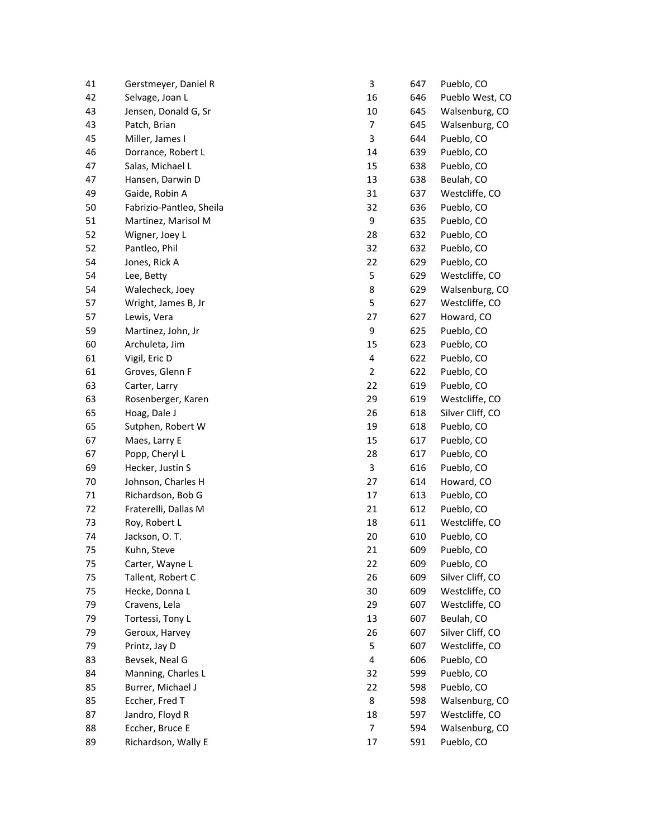| 41 | Gerstmeyer, Daniel R     | 3              | 647 | Pueblo, CO       |
|----|--------------------------|----------------|-----|------------------|
| 42 | Selvage, Joan L          | 16             | 646 | Pueblo West, CO  |
| 43 | Jensen, Donald G, Sr     | 10             | 645 | Walsenburg, CO   |
| 43 | Patch, Brian             | $\overline{7}$ | 645 | Walsenburg, CO   |
| 45 | Miller, James I          | 3              | 644 | Pueblo, CO       |
| 46 | Dorrance, Robert L       | 14             | 639 | Pueblo, CO       |
| 47 | Salas, Michael L         | 15             | 638 | Pueblo, CO       |
| 47 | Hansen, Darwin D         | 13             | 638 | Beulah, CO       |
| 49 | Gaide, Robin A           | 31             | 637 | Westcliffe, CO   |
| 50 | Fabrizio-Pantleo, Sheila | 32             | 636 | Pueblo, CO       |
| 51 | Martinez, Marisol M      | 9              | 635 | Pueblo, CO       |
| 52 | Wigner, Joey L           | 28             | 632 | Pueblo, CO       |
| 52 | Pantleo, Phil            | 32             | 632 | Pueblo, CO       |
| 54 | Jones, Rick A            | 22             | 629 | Pueblo, CO       |
| 54 | Lee, Betty               | 5              | 629 | Westcliffe, CO   |
| 54 | Walecheck, Joey          | 8              | 629 | Walsenburg, CO   |
| 57 | Wright, James B, Jr      | 5              | 627 | Westcliffe, CO   |
| 57 | Lewis, Vera              | 27             | 627 | Howard, CO       |
| 59 | Martinez, John, Jr       | 9              | 625 | Pueblo, CO       |
| 60 | Archuleta, Jim           | 15             | 623 | Pueblo, CO       |
| 61 | Vigil, Eric D            | 4              | 622 | Pueblo, CO       |
| 61 | Groves, Glenn F          | $\overline{2}$ | 622 | Pueblo, CO       |
| 63 | Carter, Larry            | 22             | 619 | Pueblo, CO       |
| 63 | Rosenberger, Karen       | 29             | 619 | Westcliffe, CO   |
| 65 | Hoag, Dale J             | 26             | 618 | Silver Cliff, CO |
| 65 | Sutphen, Robert W        | 19             | 618 | Pueblo, CO       |
| 67 | Maes, Larry E            | 15             | 617 | Pueblo, CO       |
| 67 | Popp, Cheryl L           | 28             | 617 | Pueblo, CO       |
| 69 | Hecker, Justin S         | 3              | 616 | Pueblo, CO       |
| 70 | Johnson, Charles H       | 27             | 614 | Howard, CO       |
| 71 | Richardson, Bob G        | 17             | 613 | Pueblo, CO       |
| 72 | Fraterelli, Dallas M     | 21             | 612 | Pueblo, CO       |
| 73 | Roy, Robert L            | 18             | 611 | Westcliffe, CO   |
| 74 | Jackson, O.T.            | 20             | 610 | Pueblo, CO       |
| 75 | Kuhn. Steve              | 21             | 609 | Pueblo, CO       |
| 75 | Carter, Wayne L          | 22             | 609 | Pueblo, CO       |
| 75 | Tallent, Robert C        | 26             | 609 | Silver Cliff, CO |
| 75 | Hecke, Donna L           | 30             | 609 | Westcliffe, CO   |
| 79 | Cravens, Lela            | 29             | 607 | Westcliffe, CO   |
| 79 | Tortessi, Tony L         | 13             | 607 | Beulah, CO       |
| 79 | Geroux, Harvey           | 26             | 607 | Silver Cliff, CO |
| 79 | Printz, Jay D            | 5              | 607 | Westcliffe, CO   |
| 83 | Bevsek, Neal G           | 4              | 606 | Pueblo, CO       |
| 84 | Manning, Charles L       | 32             | 599 | Pueblo, CO       |
| 85 | Burrer, Michael J        | 22             | 598 | Pueblo, CO       |
| 85 | Eccher, Fred T           | 8              | 598 | Walsenburg, CO   |
| 87 | Jandro, Floyd R          | 18             | 597 | Westcliffe, CO   |
| 88 | Eccher, Bruce E          | $\overline{7}$ | 594 | Walsenburg, CO   |
| 89 | Richardson, Wally E      | 17             | 591 | Pueblo, CO       |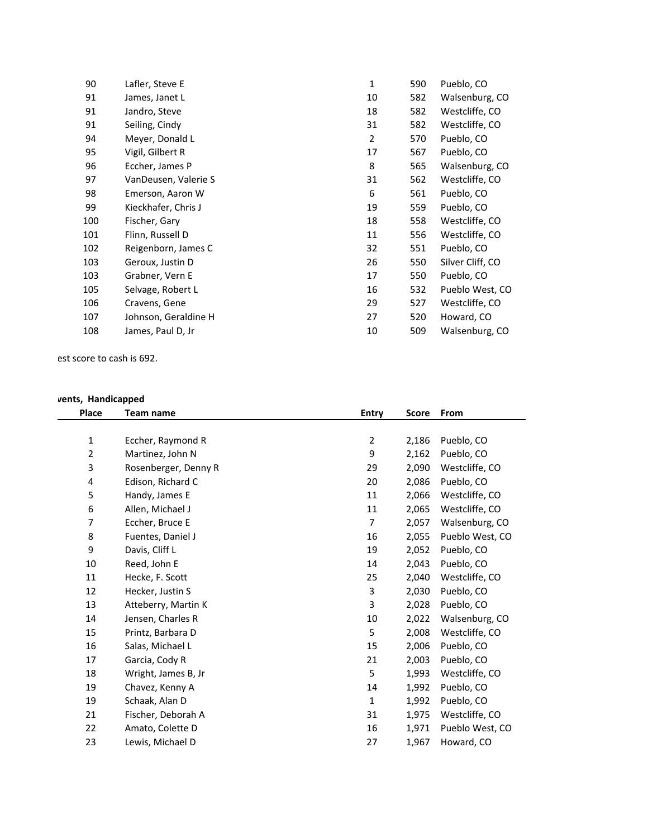| 90  | Lafler, Steve E      | 1  | 590 | Pueblo, CO       |
|-----|----------------------|----|-----|------------------|
| 91  | James, Janet L       | 10 | 582 | Walsenburg, CO   |
| 91  | Jandro, Steve        | 18 | 582 | Westcliffe, CO   |
| 91  | Seiling, Cindy       | 31 | 582 | Westcliffe, CO   |
| 94  | Meyer, Donald L      | 2  | 570 | Pueblo, CO       |
| 95  | Vigil, Gilbert R     | 17 | 567 | Pueblo, CO       |
| 96  | Eccher, James P      | 8  | 565 | Walsenburg, CO   |
| 97  | VanDeusen, Valerie S | 31 | 562 | Westcliffe, CO   |
| 98  | Emerson, Aaron W     | 6  | 561 | Pueblo, CO       |
| 99  | Kieckhafer, Chris J  | 19 | 559 | Pueblo, CO       |
| 100 | Fischer, Gary        | 18 | 558 | Westcliffe, CO   |
| 101 | Flinn, Russell D     | 11 | 556 | Westcliffe, CO   |
| 102 | Reigenborn, James C  | 32 | 551 | Pueblo, CO       |
| 103 | Geroux, Justin D     | 26 | 550 | Silver Cliff, CO |
| 103 | Grabner, Vern E      | 17 | 550 | Pueblo, CO       |
| 105 | Selvage, Robert L    | 16 | 532 | Pueblo West, CO  |
| 106 | Cravens, Gene        | 29 | 527 | Westcliffe, CO   |
| 107 | Johnson, Geraldine H | 27 | 520 | Howard, CO       |
| 108 | James, Paul D, Jr    | 10 | 509 | Walsenburg, CO   |
|     |                      |    |     |                  |

est score to cash is 692.

## **All-Events, Handicapped**

| Place          | Team name            | <b>Entry</b>   | <b>Score</b> | From            |
|----------------|----------------------|----------------|--------------|-----------------|
|                |                      |                |              |                 |
| $\mathbf{1}$   | Eccher, Raymond R    | $\overline{2}$ | 2,186        | Pueblo, CO      |
| $\overline{2}$ | Martinez, John N     | 9              | 2,162        | Pueblo, CO      |
| 3              | Rosenberger, Denny R | 29             | 2,090        | Westcliffe, CO  |
| 4              | Edison, Richard C    | 20             | 2,086        | Pueblo, CO      |
| 5              | Handy, James E       | 11             | 2,066        | Westcliffe, CO  |
| 6              | Allen, Michael J     | 11             | 2,065        | Westcliffe, CO  |
| 7              | Eccher, Bruce E      | 7              | 2,057        | Walsenburg, CO  |
| 8              | Fuentes, Daniel J    | 16             | 2,055        | Pueblo West, CO |
| 9              | Davis, Cliff L       | 19             | 2,052        | Pueblo, CO      |
| 10             | Reed, John E         | 14             | 2,043        | Pueblo, CO      |
| 11             | Hecke, F. Scott      | 25             | 2,040        | Westcliffe, CO  |
| 12             | Hecker, Justin S     | 3              | 2,030        | Pueblo, CO      |
| 13             | Atteberry, Martin K  | 3              | 2,028        | Pueblo, CO      |
| 14             | Jensen, Charles R    | 10             | 2,022        | Walsenburg, CO  |
| 15             | Printz, Barbara D    | 5              | 2,008        | Westcliffe, CO  |
| 16             | Salas, Michael L     | 15             | 2,006        | Pueblo, CO      |
| 17             | Garcia, Cody R       | 21             | 2,003        | Pueblo, CO      |
| 18             | Wright, James B, Jr  | 5              | 1,993        | Westcliffe, CO  |
| 19             | Chavez, Kenny A      | 14             | 1,992        | Pueblo, CO      |
| 19             | Schaak, Alan D       | $\mathbf{1}$   | 1,992        | Pueblo, CO      |
| 21             | Fischer, Deborah A   | 31             | 1,975        | Westcliffe, CO  |
| 22             | Amato, Colette D     | 16             | 1,971        | Pueblo West, CO |
| 23             | Lewis, Michael D     | 27             | 1,967        | Howard, CO      |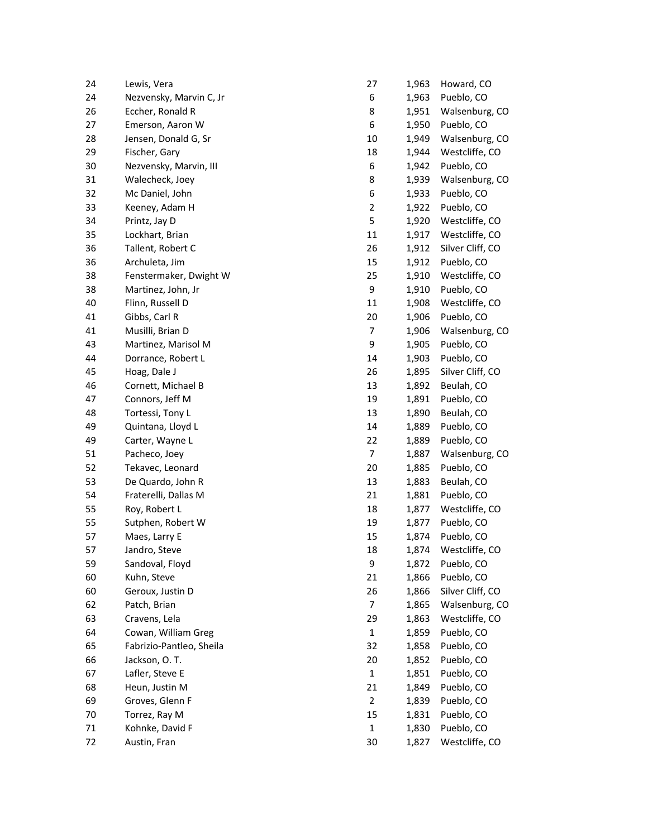| 24 | Lewis, Vera              | 27               | 1,963 | Howard, CO       |
|----|--------------------------|------------------|-------|------------------|
| 24 | Nezvensky, Marvin C, Jr  | 6                | 1,963 | Pueblo, CO       |
| 26 | Eccher, Ronald R         | 8                | 1,951 | Walsenburg, CO   |
| 27 | Emerson, Aaron W         | 6                | 1,950 | Pueblo, CO       |
| 28 | Jensen, Donald G, Sr     | 10               | 1,949 | Walsenburg, CO   |
| 29 | Fischer, Gary            | 18               | 1,944 | Westcliffe, CO   |
| 30 | Nezvensky, Marvin, III   | 6                | 1,942 | Pueblo, CO       |
| 31 | Walecheck, Joey          | 8                | 1,939 | Walsenburg, CO   |
| 32 | Mc Daniel, John          | $\boldsymbol{6}$ | 1,933 | Pueblo, CO       |
| 33 | Keeney, Adam H           | 2                | 1,922 | Pueblo, CO       |
| 34 | Printz, Jay D            | 5                | 1,920 | Westcliffe, CO   |
| 35 | Lockhart, Brian          | 11               | 1,917 | Westcliffe, CO   |
| 36 | Tallent, Robert C        | 26               | 1,912 | Silver Cliff, CO |
| 36 | Archuleta, Jim           | 15               | 1,912 | Pueblo, CO       |
| 38 | Fenstermaker, Dwight W   | 25               | 1,910 | Westcliffe, CO   |
| 38 | Martinez, John, Jr       | 9                | 1,910 | Pueblo, CO       |
| 40 | Flinn, Russell D         | 11               | 1,908 | Westcliffe, CO   |
| 41 | Gibbs, Carl R            | 20               | 1,906 | Pueblo, CO       |
| 41 | Musilli, Brian D         | $\overline{7}$   | 1,906 | Walsenburg, CO   |
| 43 | Martinez, Marisol M      | 9                | 1,905 | Pueblo, CO       |
| 44 | Dorrance, Robert L       | 14               | 1,903 | Pueblo, CO       |
| 45 | Hoag, Dale J             | 26               | 1,895 | Silver Cliff, CO |
| 46 | Cornett, Michael B       | 13               | 1,892 | Beulah, CO       |
| 47 | Connors, Jeff M          | 19               | 1,891 | Pueblo, CO       |
| 48 | Tortessi, Tony L         | 13               | 1,890 | Beulah, CO       |
| 49 | Quintana, Lloyd L        | 14               | 1,889 | Pueblo, CO       |
| 49 | Carter, Wayne L          | 22               | 1,889 | Pueblo, CO       |
| 51 | Pacheco, Joey            | $\overline{7}$   | 1,887 | Walsenburg, CO   |
| 52 | Tekavec, Leonard         | 20               | 1,885 | Pueblo, CO       |
| 53 | De Quardo, John R        | 13               | 1,883 | Beulah, CO       |
| 54 | Fraterelli, Dallas M     | 21               | 1,881 | Pueblo, CO       |
| 55 | Roy, Robert L            | 18               | 1,877 | Westcliffe, CO   |
| 55 | Sutphen, Robert W        | 19               | 1,877 | Pueblo, CO       |
| 57 | Maes, Larry E            | 15               | 1,874 | Pueblo, CO       |
| 57 | Jandro, Steve            | 18               | 1,874 | Westcliffe, CO   |
| 59 | Sandoval, Floyd          | 9                | 1,872 | Pueblo, CO       |
| 60 | Kuhn, Steve              | 21               | 1,866 | Pueblo, CO       |
| 60 | Geroux, Justin D         | 26               | 1,866 | Silver Cliff, CO |
| 62 | Patch, Brian             | 7                | 1,865 | Walsenburg, CO   |
| 63 | Cravens, Lela            | 29               | 1,863 | Westcliffe, CO   |
| 64 | Cowan, William Greg      | $\mathbf 1$      | 1,859 | Pueblo, CO       |
| 65 | Fabrizio-Pantleo, Sheila | 32               | 1,858 | Pueblo, CO       |
| 66 | Jackson, O. T.           | 20               | 1,852 | Pueblo, CO       |
| 67 | Lafler, Steve E          | $\mathbf 1$      | 1,851 | Pueblo, CO       |
| 68 | Heun, Justin M           | 21               | 1,849 | Pueblo, CO       |
| 69 | Groves, Glenn F          | $\overline{2}$   | 1,839 | Pueblo, CO       |
| 70 | Torrez, Ray M            | 15               | 1,831 | Pueblo, CO       |
| 71 | Kohnke, David F          | $\mathbf 1$      | 1,830 | Pueblo, CO       |
| 72 | Austin, Fran             | 30               | 1,827 | Westcliffe, CO   |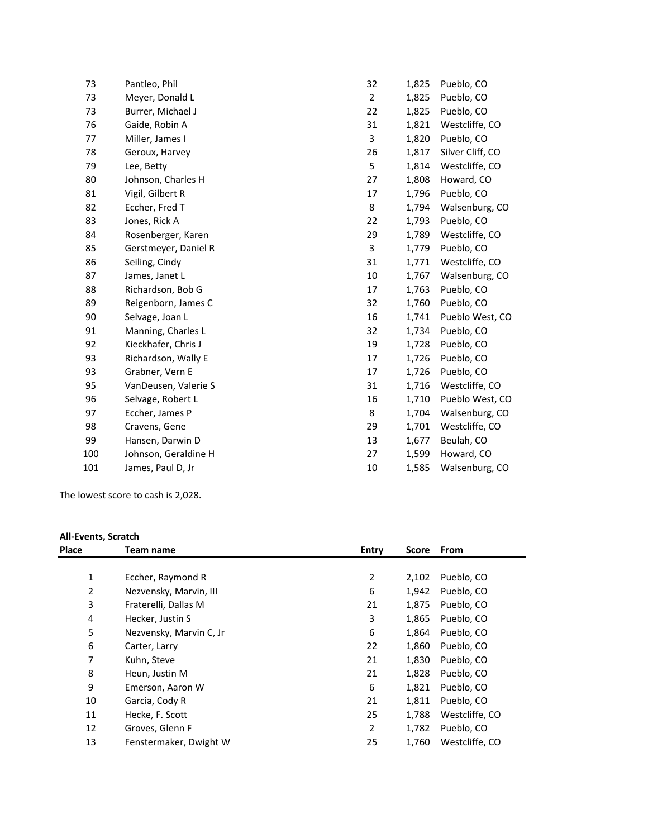| 73  | Pantleo, Phil        | 32             | 1,825 | Pueblo, CO       |
|-----|----------------------|----------------|-------|------------------|
| 73  | Meyer, Donald L      | $\overline{2}$ | 1,825 | Pueblo, CO       |
| 73  | Burrer, Michael J    | 22             | 1,825 | Pueblo, CO       |
| 76  | Gaide, Robin A       | 31             | 1,821 | Westcliffe, CO   |
| 77  | Miller, James I      | 3              | 1,820 | Pueblo, CO       |
| 78  | Geroux, Harvey       | 26             | 1,817 | Silver Cliff, CO |
| 79  | Lee, Betty           | 5              | 1,814 | Westcliffe, CO   |
| 80  | Johnson, Charles H   | 27             | 1,808 | Howard, CO       |
| 81  | Vigil, Gilbert R     | 17             | 1,796 | Pueblo, CO       |
| 82  | Eccher, Fred T       | 8              | 1,794 | Walsenburg, CO   |
| 83  | Jones, Rick A        | 22             | 1,793 | Pueblo, CO       |
| 84  | Rosenberger, Karen   | 29             | 1,789 | Westcliffe, CO   |
| 85  | Gerstmeyer, Daniel R | 3              | 1,779 | Pueblo, CO       |
| 86  | Seiling, Cindy       | 31             | 1,771 | Westcliffe, CO   |
| 87  | James, Janet L       | 10             | 1,767 | Walsenburg, CO   |
| 88  | Richardson, Bob G    | 17             | 1,763 | Pueblo, CO       |
| 89  | Reigenborn, James C  | 32             | 1,760 | Pueblo, CO       |
| 90  | Selvage, Joan L      | 16             | 1,741 | Pueblo West, CO  |
| 91  | Manning, Charles L   | 32             | 1,734 | Pueblo, CO       |
| 92  | Kieckhafer, Chris J  | 19             | 1,728 | Pueblo, CO       |
| 93  | Richardson, Wally E  | 17             | 1,726 | Pueblo, CO       |
| 93  | Grabner, Vern E      | 17             | 1,726 | Pueblo, CO       |
| 95  | VanDeusen, Valerie S | 31             | 1,716 | Westcliffe, CO   |
| 96  | Selvage, Robert L    | 16             | 1,710 | Pueblo West, CO  |
| 97  | Eccher, James P      | 8              | 1,704 | Walsenburg, CO   |
| 98  | Cravens, Gene        | 29             | 1,701 | Westcliffe, CO   |
| 99  | Hansen, Darwin D     | 13             | 1,677 | Beulah, CO       |
| 100 | Johnson, Geraldine H | 27             | 1,599 | Howard, CO       |
| 101 | James, Paul D, Jr    | 10             | 1,585 | Walsenburg, CO   |
|     |                      |                |       |                  |

The lowest score to cash is 2,028.

## **All-Events, Scratch**

| <b>Place</b>   | Team name               | Entry          | <b>Score</b> | From           |
|----------------|-------------------------|----------------|--------------|----------------|
|                |                         |                |              |                |
| $\mathbf{1}$   | Eccher, Raymond R       | $\overline{2}$ | 2,102        | Pueblo, CO     |
| $\overline{2}$ | Nezvensky, Marvin, III  | 6              | 1,942        | Pueblo, CO     |
| 3              | Fraterelli, Dallas M    | 21             | 1,875        | Pueblo, CO     |
| 4              | Hecker, Justin S        | 3              | 1,865        | Pueblo, CO     |
| 5              | Nezvensky, Marvin C, Jr | 6              | 1,864        | Pueblo, CO     |
| 6              | Carter, Larry           | 22             | 1,860        | Pueblo, CO     |
| 7              | Kuhn, Steve             | 21             | 1,830        | Pueblo, CO     |
| 8              | Heun, Justin M          | 21             | 1,828        | Pueblo, CO     |
| 9              | Emerson, Aaron W        | 6              | 1,821        | Pueblo, CO     |
| 10             | Garcia, Cody R          | 21             | 1,811        | Pueblo, CO     |
| 11             | Hecke, F. Scott         | 25             | 1,788        | Westcliffe, CO |
| 12             | Groves, Glenn F         | 2              | 1,782        | Pueblo, CO     |
| 13             | Fenstermaker, Dwight W  | 25             | 1,760        | Westcliffe, CO |